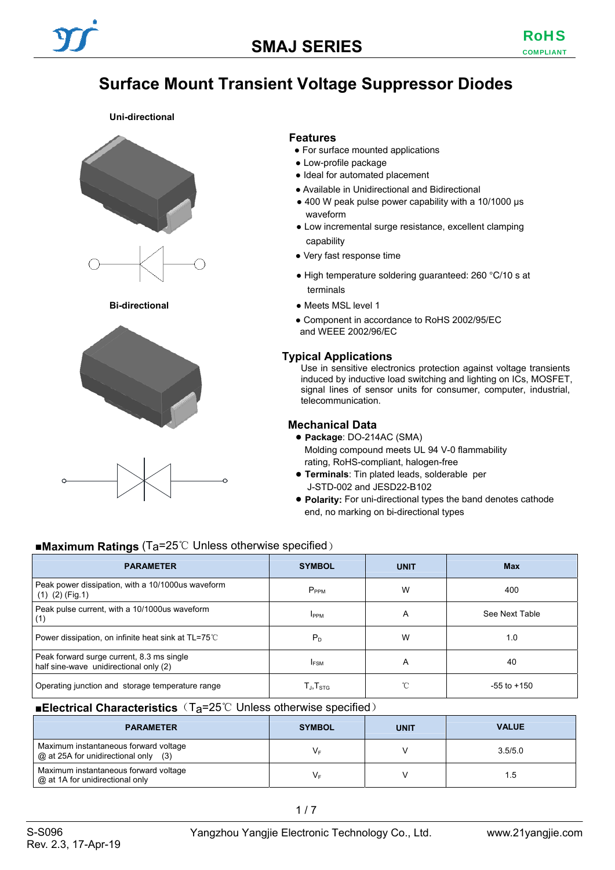# **Surface Mount Transient Voltage Suppressor Diodes**

#### **Uni-directional**









#### **Features**

- For surface mounted applications
- Low-profile package
- Ideal for automated placement
- Available in Unidirectional and Bidirectional
- 400 W peak pulse power capability with a 10/1000 μs waveform
- Low incremental surge resistance, excellent clamping capability
- Very fast response time
- High temperature soldering guaranteed: 260 °C/10 s at terminals
- **Bi-directional Bi-directional a Meets MSL level 1** 
	- Component in accordance to RoHS 2002/95/EC and WEEE 2002/96/EC

### **Typical Applications**

Use in sensitive electronics protection against voltage transients induced by inductive load switching and lighting on ICs, MOSFET, signal lines of sensor units for consumer, computer, industrial, telecommunication.

### **Mechanical Data**

- **Package**: DO-214AC (SMA) Molding compound meets UL 94 V-0 flammability rating, RoHS-compliant, halogen-free
- **Terminals**: Tin plated leads, solderable per J-STD-002 and JESD22-B102
- **Polarity:** For uni-directional types the band denotes cathode end, no marking on bi-directional types

### ■**Maximum Ratings** (Ta=25℃ Unless otherwise specified)

| <b>PARAMETER</b>                                                                    | <b>SYMBOL</b>                                        | <b>UNIT</b> | <b>Max</b>      |
|-------------------------------------------------------------------------------------|------------------------------------------------------|-------------|-----------------|
| Peak power dissipation, with a 10/1000us waveform<br>$(1)$ $(2)$ (Fig.1)            | $P_{PPM}$                                            | W           | 400             |
| Peak pulse current, with a 10/1000us waveform<br>(1)                                | <b>IPPM</b>                                          | A           | See Next Table  |
| Power dissipation, on infinite heat sink at TL=75°C                                 | $P_D$                                                | W           | 1.0             |
| Peak forward surge current, 8.3 ms single<br>half sine-wave unidirectional only (2) | <b>IFSM</b>                                          | A           | 40              |
| Operating junction and storage temperature range                                    | $\mathsf{T}_{\mathsf{J}}, \mathsf{T}_{\mathsf{STG}}$ | °C          | $-55$ to $+150$ |

### ■**Electrical Characteristics** (T<sub>a</sub>=25℃ Unless otherwise specified)

| <b>PARAMETER</b>                                                                | <b>SYMBOL</b> | <b>UNIT</b> | <b>VALUE</b> |
|---------------------------------------------------------------------------------|---------------|-------------|--------------|
| Maximum instantaneous forward voltage<br>$@$ at 25A for unidirectional only (3) | V⊧            |             | 3.5/5.0      |
| Maximum instantaneous forward voltage<br>@ at 1A for unidirectional only        | V⊧            |             | 1.5          |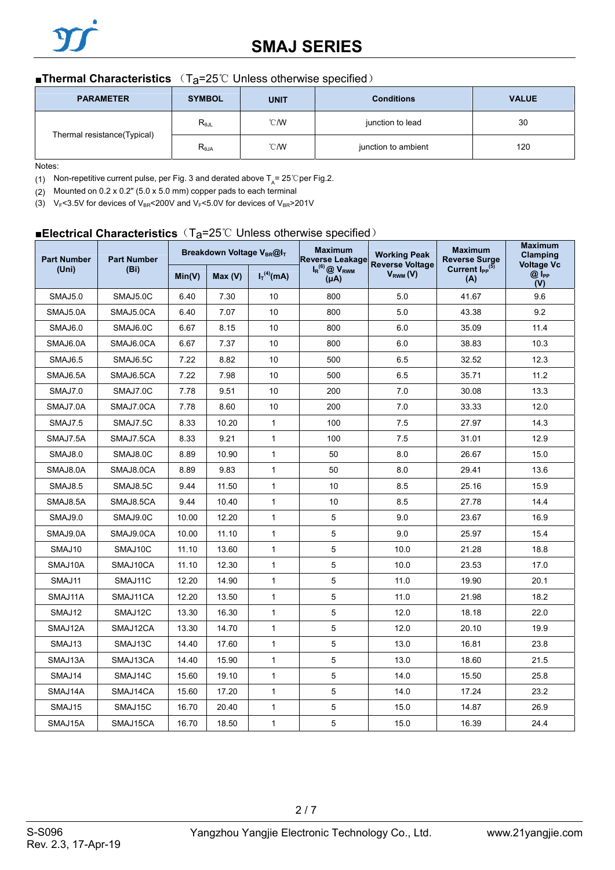## **SMAJ SERIES**

### ■**Thermal Characteristics** (T<sub>a</sub>=25℃ Unless otherwise specified)

| <b>PARAMETER</b>            | <b>SYMBOL</b>                    | <b>UNIT</b>    | <b>Conditions</b>   | <b>VALUE</b> |
|-----------------------------|----------------------------------|----------------|---------------------|--------------|
|                             | $\mathsf{R}_{\theta\mathsf{JL}}$ | $^{\circ}$ C/W | junction to lead    | 30           |
| Thermal resistance(Typical) | $R_{\theta$ JA                   | $^{\circ}$ C/W | junction to ambient | 120          |

Notes:

(1) Non-repetitive current pulse, per Fig. 3 and derated above  $T_A$ = 25 °C per Fig.2.

(2) Mounted on 0.2 x 0.2" (5.0 x 5.0 mm) copper pads to each terminal

(3) V<sub>F</sub><3.5V for devices of V<sub>BR</sub><200V and V<sub>F</sub><5.0V for devices of V<sub>BR</sub>>201V

### ■**Electrical Characteristics** (T<sub>a</sub>=25℃ Unless otherwise specified)

| <b>Part Number</b> | <b>Part Number</b> |        | Breakdown Voltage V <sub>BR</sub> @I <sub>T</sub> |                 | <b>Maximum</b><br><b>Working Peak</b><br><b>Reverse Leakage</b><br><b>Reverse Voltage</b> | <b>Maximum</b><br><b>Reverse Surge</b> | <b>Maximum</b><br>Clamping<br><b>Voltage Vc</b> |                     |
|--------------------|--------------------|--------|---------------------------------------------------|-----------------|-------------------------------------------------------------------------------------------|----------------------------------------|-------------------------------------------------|---------------------|
| (Uni)              | (Bi)               | Min(V) | Max(V)                                            | $I_T^{(4)}(mA)$ | $I_R$ <sup>(6)</sup> $\oslash$ V <sub>RWM</sub><br>$(\mu A)$                              | $V_{RWM} (V)$                          | Current I <sub>PP</sub> <sup>(5)</sup><br>(A)   | $@$ $I_{PP}$<br>(V) |
| <b>SMAJ5.0</b>     | SMAJ5.0C           | 6.40   | 7.30                                              | 10              | 800                                                                                       | 5.0                                    | 41.67                                           | 9.6                 |
| SMAJ5.0A           | SMAJ5.0CA          | 6.40   | 7.07                                              | 10              | 800                                                                                       | 5.0                                    | 43.38                                           | 9.2                 |
| SMAJ6.0            | SMAJ6.0C           | 6.67   | 8.15                                              | 10              | 800                                                                                       | 6.0                                    | 35.09                                           | 11.4                |
| SMAJ6.0A           | SMAJ6.0CA          | 6.67   | 7.37                                              | 10              | 800                                                                                       | 6.0                                    | 38.83                                           | 10.3                |
| <b>SMAJ6.5</b>     | SMAJ6.5C           | 7.22   | 8.82                                              | 10              | 500                                                                                       | 6.5                                    | 32.52                                           | 12.3                |
| SMAJ6.5A           | SMAJ6.5CA          | 7.22   | 7.98                                              | 10              | 500                                                                                       | 6.5                                    | 35.71                                           | 11.2                |
| SMAJ7.0            | SMAJ7.0C           | 7.78   | 9.51                                              | 10              | 200                                                                                       | 7.0                                    | 30.08                                           | 13.3                |
| SMAJ7.0A           | SMAJ7.0CA          | 7.78   | 8.60                                              | 10              | 200                                                                                       | 7.0                                    | 33.33                                           | 12.0                |
| SMAJ7.5            | SMAJ7.5C           | 8.33   | 10.20                                             | 1               | 100                                                                                       | 7.5                                    | 27.97                                           | 14.3                |
| SMAJ7.5A           | SMAJ7.5CA          | 8.33   | 9.21                                              | $\mathbf{1}$    | 100                                                                                       | 7.5                                    | 31.01                                           | 12.9                |
| SMAJ8.0            | SMAJ8.0C           | 8.89   | 10.90                                             | 1               | 50                                                                                        | 8.0                                    | 26.67                                           | 15.0                |
| SMAJ8.0A           | SMAJ8.0CA          | 8.89   | 9.83                                              | 1               | 50                                                                                        | 8.0                                    | 29.41                                           | 13.6                |
| <b>SMAJ8.5</b>     | SMAJ8.5C           | 9.44   | 11.50                                             | $\mathbf{1}$    | 10                                                                                        | 8.5                                    | 25.16                                           | 15.9                |
| SMAJ8.5A           | SMAJ8.5CA          | 9.44   | 10.40                                             | $\mathbf{1}$    | 10                                                                                        | 8.5                                    | 27.78                                           | 14.4                |
| SMAJ9.0            | SMAJ9.0C           | 10.00  | 12.20                                             | 1               | 5                                                                                         | 9.0                                    | 23.67                                           | 16.9                |
| SMAJ9.0A           | SMAJ9.0CA          | 10.00  | 11.10                                             | $\mathbf{1}$    | 5                                                                                         | 9.0                                    | 25.97                                           | 15.4                |
| SMAJ10             | SMAJ10C            | 11.10  | 13.60                                             | 1               | 5                                                                                         | 10.0                                   | 21.28                                           | 18.8                |
| SMAJ10A            | SMAJ10CA           | 11.10  | 12.30                                             | $\mathbf{1}$    | 5                                                                                         | 10.0                                   | 23.53                                           | 17.0                |
| SMAJ11             | SMAJ11C            | 12.20  | 14.90                                             | 1               | 5                                                                                         | 11.0                                   | 19.90                                           | 20.1                |
| SMAJ11A            | SMAJ11CA           | 12.20  | 13.50                                             | 1               | 5                                                                                         | 11.0                                   | 21.98                                           | 18.2                |
| SMAJ12             | SMAJ12C            | 13.30  | 16.30                                             | $\mathbf{1}$    | 5                                                                                         | 12.0                                   | 18.18                                           | 22.0                |
| SMAJ12A            | SMAJ12CA           | 13.30  | 14.70                                             | 1               | 5                                                                                         | 12.0                                   | 20.10                                           | 19.9                |
| SMAJ13             | SMAJ13C            | 14.40  | 17.60                                             | 1               | 5                                                                                         | 13.0                                   | 16.81                                           | 23.8                |
| SMAJ13A            | SMAJ13CA           | 14.40  | 15.90                                             | 1               | 5                                                                                         | 13.0                                   | 18.60                                           | 21.5                |
| SMAJ14             | SMAJ14C            | 15.60  | 19.10                                             | 1               | 5                                                                                         | 14.0                                   | 15.50                                           | 25.8                |
| SMAJ14A            | SMAJ14CA           | 15.60  | 17.20                                             | $\mathbf{1}$    | 5                                                                                         | 14.0                                   | 17.24                                           | 23.2                |
| SMAJ15             | SMAJ15C            | 16.70  | 20.40                                             | 1               | 5                                                                                         | 15.0                                   | 14.87                                           | 26.9                |
| SMAJ15A            | SMAJ15CA           | 16.70  | 18.50                                             | 1               | 5                                                                                         | 15.0                                   | 16.39                                           | 24.4                |

2 / 7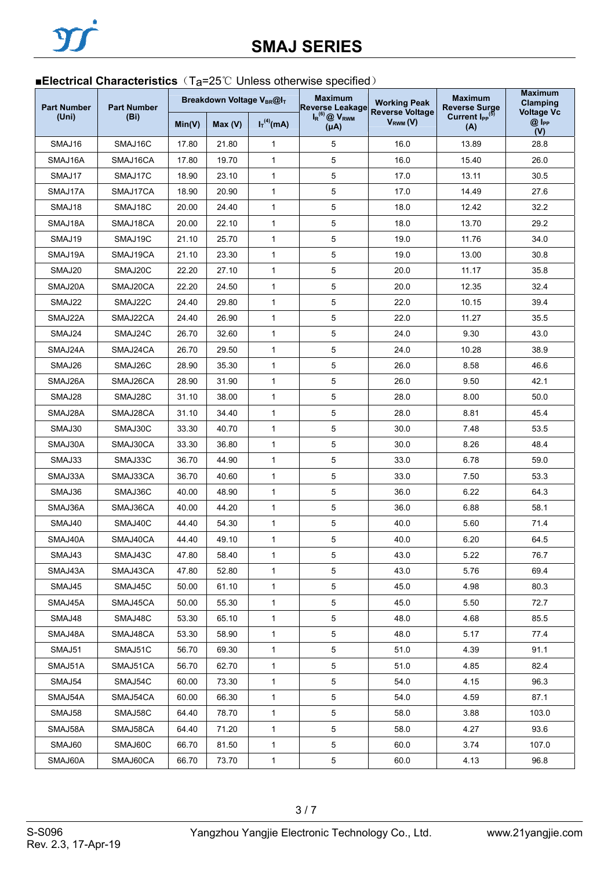## ■**Electrical Characteristics** (T<sub>a</sub>=25℃ Unless otherwise specified)

| <b>Part Number</b> | <b>Part Number</b> |        | Breakdown Voltage VBR@IT |                 | <b>Maximum</b><br><b>Working Peak</b><br><b>Reverse Leakage</b><br><b>Reverse Voltage</b> |               | <b>Maximum</b><br><b>Reverse Surge</b>        | <b>Maximum</b><br>Clamping<br><b>Voltage Vc</b> |
|--------------------|--------------------|--------|--------------------------|-----------------|-------------------------------------------------------------------------------------------|---------------|-----------------------------------------------|-------------------------------------------------|
| (Uni)              | (Bi)               | Min(V) | Max(V)                   | $I_T^{(4)}(mA)$ | $I_R$ <sup>(6)</sup> $\bigotimes$ $V_{RWM}$<br>$(\mu A)$                                  | $V_{RWM} (V)$ | Current I <sub>PP</sub> <sup>(5)</sup><br>(A) | $@I_{PP}$<br>(V)                                |
| SMAJ16             | SMAJ16C            | 17.80  | 21.80                    | 1               | 5                                                                                         | 16.0          | 13.89                                         | 28.8                                            |
| SMAJ16A            | SMAJ16CA           | 17.80  | 19.70                    | $\mathbf{1}$    | 5                                                                                         | 16.0          | 15.40                                         | 26.0                                            |
| SMAJ17             | SMAJ17C            | 18.90  | 23.10                    | 1               | 5                                                                                         | 17.0          | 13.11                                         | 30.5                                            |
| SMAJ17A            | SMAJ17CA           | 18.90  | 20.90                    | $\mathbf{1}$    | 5                                                                                         | 17.0          | 14.49                                         | 27.6                                            |
| SMAJ18             | SMAJ18C            | 20.00  | 24.40                    | 1               | 5                                                                                         | 18.0          | 12.42                                         | 32.2                                            |
| SMAJ18A            | SMAJ18CA           | 20.00  | 22.10                    | 1               | 5                                                                                         | 18.0          | 13.70                                         | 29.2                                            |
| SMAJ19             | SMAJ19C            | 21.10  | 25.70                    | 1               | 5                                                                                         | 19.0          | 11.76                                         | 34.0                                            |
| SMAJ19A            | SMAJ19CA           | 21.10  | 23.30                    | 1               | 5                                                                                         | 19.0          | 13.00                                         | 30.8                                            |
| SMAJ20             | SMAJ20C            | 22.20  | 27.10                    | 1               | 5                                                                                         | 20.0          | 11.17                                         | 35.8                                            |
| SMAJ20A            | SMAJ20CA           | 22.20  | 24.50                    | $\mathbf{1}$    | 5                                                                                         | 20.0          | 12.35                                         | 32.4                                            |
| SMAJ22             | SMAJ22C            | 24.40  | 29.80                    | $\mathbf{1}$    | 5                                                                                         | 22.0          | 10.15                                         | 39.4                                            |
| SMAJ22A            | SMAJ22CA           | 24.40  | 26.90                    | 1               | 5                                                                                         | 22.0          | 11.27                                         | 35.5                                            |
| SMAJ24             | SMAJ24C            | 26.70  | 32.60                    | 1               | 5                                                                                         | 24.0          | 9.30                                          | 43.0                                            |
| SMAJ24A            | SMAJ24CA           | 26.70  | 29.50                    | 1               | 5                                                                                         | 24.0          | 10.28                                         | 38.9                                            |
| SMAJ26             | SMAJ26C            | 28.90  | 35.30                    | 1               | 5                                                                                         | 26.0          | 8.58                                          | 46.6                                            |
| SMAJ26A            | SMAJ26CA           | 28.90  | 31.90                    | $\mathbf{1}$    | 5                                                                                         | 26.0          | 9.50                                          | 42.1                                            |
| SMAJ28             | SMAJ28C            | 31.10  | 38.00                    | 1               | 5                                                                                         | 28.0          | 8.00                                          | 50.0                                            |
| SMAJ28A            | SMAJ28CA           | 31.10  | 34.40                    | $\mathbf{1}$    | 5                                                                                         | 28.0          | 8.81                                          | 45.4                                            |
| SMAJ30             | SMAJ30C            | 33.30  | 40.70                    | 1               | 5                                                                                         | 30.0          | 7.48                                          | 53.5                                            |
| SMAJ30A            | SMAJ30CA           | 33.30  | 36.80                    | $\mathbf{1}$    | 5                                                                                         | 30.0          | 8.26                                          | 48.4                                            |
| SMAJ33             | SMAJ33C            | 36.70  | 44.90                    | 1               | 5                                                                                         | 33.0          | 6.78                                          | 59.0                                            |
| SMAJ33A            | SMAJ33CA           | 36.70  | 40.60                    | $\mathbf{1}$    | 5                                                                                         | 33.0          | 7.50                                          | 53.3                                            |
| SMAJ36             | SMAJ36C            | 40.00  | 48.90                    | 1               | 5                                                                                         | 36.0          | 6.22                                          | 64.3                                            |
| SMAJ36A            | SMAJ36CA           | 40.00  | 44.20                    | $\mathbf{1}$    | 5                                                                                         | 36.0          | 6.88                                          | 58.1                                            |
| SMAJ40             | SMAJ40C            | 44.40  | 54.30                    | 1               | $\sqrt{5}$                                                                                | 40.0          | 5.60                                          | 71.4                                            |
| SMAJ40A            | SMAJ40CA           | 44.40  | 49.10                    | $\mathbf{1}$    | 5                                                                                         | 40.0          | 6.20                                          | 64.5                                            |
| SMAJ43             | SMAJ43C            | 47.80  | 58.40                    | 1               | 5                                                                                         | 43.0          | 5.22                                          | 76.7                                            |
| SMAJ43A            | SMAJ43CA           | 47.80  | 52.80                    | $\mathbf{1}$    | 5                                                                                         | 43.0          | 5.76                                          | 69.4                                            |
| SMAJ45             | SMAJ45C            | 50.00  | 61.10                    | 1               | 5                                                                                         | 45.0          | 4.98                                          | 80.3                                            |
| SMAJ45A            | SMAJ45CA           | 50.00  | 55.30                    | $\mathbf{1}$    | $\sqrt{5}$                                                                                | 45.0          | 5.50                                          | 72.7                                            |
| SMAJ48             | SMAJ48C            | 53.30  | 65.10                    | $\mathbf 1$     | 5                                                                                         | 48.0          | 4.68                                          | 85.5                                            |
| SMAJ48A            | SMAJ48CA           | 53.30  | 58.90                    | 1               | 5                                                                                         | 48.0          | 5.17                                          | 77.4                                            |
| SMAJ51             | SMAJ51C            | 56.70  | 69.30                    | $\mathbf 1$     | 5                                                                                         | 51.0          | 4.39                                          | 91.1                                            |
| SMAJ51A            | SMAJ51CA           | 56.70  | 62.70                    | $\mathbf{1}$    | $\sqrt{5}$                                                                                | 51.0          | 4.85                                          | 82.4                                            |
| SMAJ54             | SMAJ54C            | 60.00  | 73.30                    | 1               | 5                                                                                         | 54.0          | 4.15                                          | 96.3                                            |
| SMAJ54A            | SMAJ54CA           | 60.00  | 66.30                    | $\mathbf{1}$    | 5                                                                                         | 54.0          | 4.59                                          | 87.1                                            |
| SMAJ58             | SMAJ58C            | 64.40  | 78.70                    | $\mathbf{1}$    | 5                                                                                         | 58.0          | 3.88                                          | 103.0                                           |
| SMAJ58A            | SMAJ58CA           | 64.40  | 71.20                    | $\mathbf{1}$    | 5                                                                                         | 58.0          | 4.27                                          | 93.6                                            |
| SMAJ60             | SMAJ60C            | 66.70  | 81.50                    | 1               | 5                                                                                         | 60.0          | 3.74                                          | 107.0                                           |
| SMAJ60A            | SMAJ60CA           | 66.70  | 73.70                    | $\mathbf{1}$    | $\mathbf 5$                                                                               | 60.0          | 4.13                                          | 96.8                                            |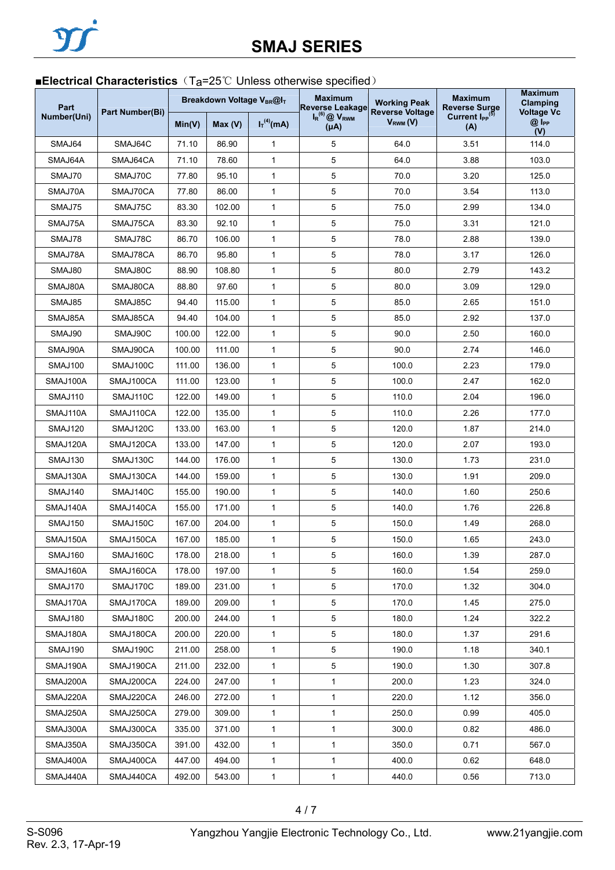## ■**Electrical Characteristics** (T<sub>a</sub>=25℃ Unless otherwise specified)

| Part           | Part Number(Bi) |        |        | <b>Maximum</b><br>Breakdown Voltage VBR@IT<br><b>Reverse Leakage</b> |                                      | <b>Working Peak</b><br><b>Reverse Voltage</b> | <b>Maximum</b><br><b>Reverse Surge</b>        | <b>Maximum</b><br>Clamping<br><b>Voltage Vc</b> |
|----------------|-----------------|--------|--------|----------------------------------------------------------------------|--------------------------------------|-----------------------------------------------|-----------------------------------------------|-------------------------------------------------|
| Number(Uni)    |                 | Min(V) | Max(V) | $I_T^{(4)}(mA)$                                                      | $I_R^{(6)}$ @ $V_{RWM}$<br>$(\mu A)$ | $V_{RWM} (V)$                                 | Current I <sub>PP</sub> <sup>(5)</sup><br>(A) | $@I_{PP}$<br>(V)                                |
| SMAJ64         | SMAJ64C         | 71.10  | 86.90  | $\mathbf{1}$                                                         | 5                                    | 64.0                                          | 3.51                                          | 114.0                                           |
| SMAJ64A        | SMAJ64CA        | 71.10  | 78.60  | $\mathbf{1}$                                                         | 5                                    | 64.0                                          | 3.88                                          | 103.0                                           |
| SMAJ70         | SMAJ70C         | 77.80  | 95.10  | $\mathbf{1}$                                                         | 5                                    | 70.0                                          | 3.20                                          | 125.0                                           |
| SMAJ70A        | SMAJ70CA        | 77.80  | 86.00  | $\mathbf{1}$                                                         | 5                                    | 70.0                                          | 3.54                                          | 113.0                                           |
| SMAJ75         | SMAJ75C         | 83.30  | 102.00 | 1                                                                    | 5                                    | 75.0                                          | 2.99                                          | 134.0                                           |
| SMAJ75A        | SMAJ75CA        | 83.30  | 92.10  | $\mathbf{1}$                                                         | 5                                    | 75.0                                          | 3.31                                          | 121.0                                           |
| SMAJ78         | SMAJ78C         | 86.70  | 106.00 | 1                                                                    | 5                                    | 78.0                                          | 2.88                                          | 139.0                                           |
| SMAJ78A        | SMAJ78CA        | 86.70  | 95.80  | 1                                                                    | 5                                    | 78.0                                          | 3.17                                          | 126.0                                           |
| SMAJ80         | SMAJ80C         | 88.90  | 108.80 | $\mathbf{1}$                                                         | 5                                    | 80.0                                          | 2.79                                          | 143.2                                           |
| SMAJ80A        | SMAJ80CA        | 88.80  | 97.60  | 1                                                                    | 5                                    | 80.0                                          | 3.09                                          | 129.0                                           |
| SMAJ85         | SMAJ85C         | 94.40  | 115.00 | $\mathbf{1}$                                                         | 5                                    | 85.0                                          | 2.65                                          | 151.0                                           |
| SMAJ85A        | SMAJ85CA        | 94.40  | 104.00 | $\mathbf{1}$                                                         | 5                                    | 85.0                                          | 2.92                                          | 137.0                                           |
| SMAJ90         | SMAJ90C         | 100.00 | 122.00 | $\mathbf{1}$                                                         | 5                                    | 90.0                                          | 2.50                                          | 160.0                                           |
| SMAJ90A        | SMAJ90CA        | 100.00 | 111.00 | 1                                                                    | 5                                    | 90.0                                          | 2.74                                          | 146.0                                           |
| SMAJ100        | SMAJ100C        | 111.00 | 136.00 | 1                                                                    | 5                                    | 100.0                                         | 2.23                                          | 179.0                                           |
| SMAJ100A       | SMAJ100CA       | 111.00 | 123.00 | 1                                                                    | 5                                    | 100.0                                         | 2.47                                          | 162.0                                           |
| SMAJ110        | SMAJ110C        | 122.00 | 149.00 | 1                                                                    | 5                                    | 110.0                                         | 2.04                                          | 196.0                                           |
| SMAJ110A       | SMAJ110CA       | 122.00 | 135.00 | $\mathbf{1}$                                                         | 5                                    | 110.0                                         | 2.26                                          | 177.0                                           |
| SMAJ120        | SMAJ120C        | 133.00 | 163.00 | 1                                                                    | 5                                    | 120.0                                         | 1.87                                          | 214.0                                           |
| SMAJ120A       | SMAJ120CA       | 133.00 | 147.00 | $\mathbf{1}$                                                         | 5                                    | 120.0                                         | 2.07                                          | 193.0                                           |
| SMAJ130        | SMAJ130C        | 144.00 | 176.00 | $\mathbf{1}$                                                         | 5                                    | 130.0                                         | 1.73                                          | 231.0                                           |
| SMAJ130A       | SMAJ130CA       | 144.00 | 159.00 | 1                                                                    | 5                                    | 130.0                                         | 1.91                                          | 209.0                                           |
| SMAJ140        | SMAJ140C        | 155.00 | 190.00 | $\mathbf{1}$                                                         | 5                                    | 140.0                                         | 1.60                                          | 250.6                                           |
| SMAJ140A       | SMAJ140CA       | 155.00 | 171.00 | 1                                                                    | 5                                    | 140.0                                         | 1.76                                          | 226.8                                           |
| <b>SMAJ150</b> | SMAJ150C        | 167.00 | 204.00 | 1                                                                    | 5                                    | 150.0                                         | 1.49                                          | 268.0                                           |
| SMAJ150A       | SMAJ150CA       | 167.00 | 185.00 | $\mathbf{1}$                                                         | 5                                    | 150.0                                         | 1.65                                          | 243.0                                           |
| SMAJ160        | SMAJ160C        | 178.00 | 218.00 | $\mathbf 1$                                                          | 5                                    | 160.0                                         | 1.39                                          | 287.0                                           |
| SMAJ160A       | SMAJ160CA       | 178.00 | 197.00 | 1                                                                    | 5                                    | 160.0                                         | 1.54                                          | 259.0                                           |
| SMAJ170        | SMAJ170C        | 189.00 | 231.00 | 1                                                                    | 5                                    | 170.0                                         | 1.32                                          | 304.0                                           |
| SMAJ170A       | SMAJ170CA       | 189.00 | 209.00 | $\mathbf{1}$                                                         | 5                                    | 170.0                                         | 1.45                                          | 275.0                                           |
| SMAJ180        | SMAJ180C        | 200.00 | 244.00 | $\mathbf{1}$                                                         | 5                                    | 180.0                                         | 1.24                                          | 322.2                                           |
| SMAJ180A       | SMAJ180CA       | 200.00 | 220.00 | 1                                                                    | 5                                    | 180.0                                         | 1.37                                          | 291.6                                           |
| SMAJ190        | SMAJ190C        | 211.00 | 258.00 | $\mathbf{1}$                                                         | 5                                    | 190.0                                         | 1.18                                          | 340.1                                           |
| SMAJ190A       | SMAJ190CA       | 211.00 | 232.00 | 1                                                                    | 5                                    | 190.0                                         | 1.30                                          | 307.8                                           |
| SMAJ200A       | SMAJ200CA       | 224.00 | 247.00 | 1                                                                    | $\mathbf{1}$                         | 200.0                                         | 1.23                                          | 324.0                                           |
| SMAJ220A       | SMAJ220CA       | 246.00 | 272.00 | 1                                                                    | 1                                    | 220.0                                         | 1.12                                          | 356.0                                           |
| SMAJ250A       | SMAJ250CA       | 279.00 | 309.00 | $\mathbf{1}$                                                         | 1                                    | 250.0                                         | 0.99                                          | 405.0                                           |
| SMAJ300A       | SMAJ300CA       | 335.00 | 371.00 | $\mathbf{1}$                                                         | 1                                    | 300.0                                         | 0.82                                          | 486.0                                           |
| SMAJ350A       | SMAJ350CA       | 391.00 | 432.00 | 1                                                                    | 1                                    | 350.0                                         | 0.71                                          | 567.0                                           |
| SMAJ400A       | SMAJ400CA       | 447.00 | 494.00 | $\mathbf{1}$                                                         | 1                                    | 400.0                                         | 0.62                                          | 648.0                                           |
| SMAJ440A       | SMAJ440CA       | 492.00 | 543.00 | 1                                                                    | 1                                    | 440.0                                         | 0.56                                          | 713.0                                           |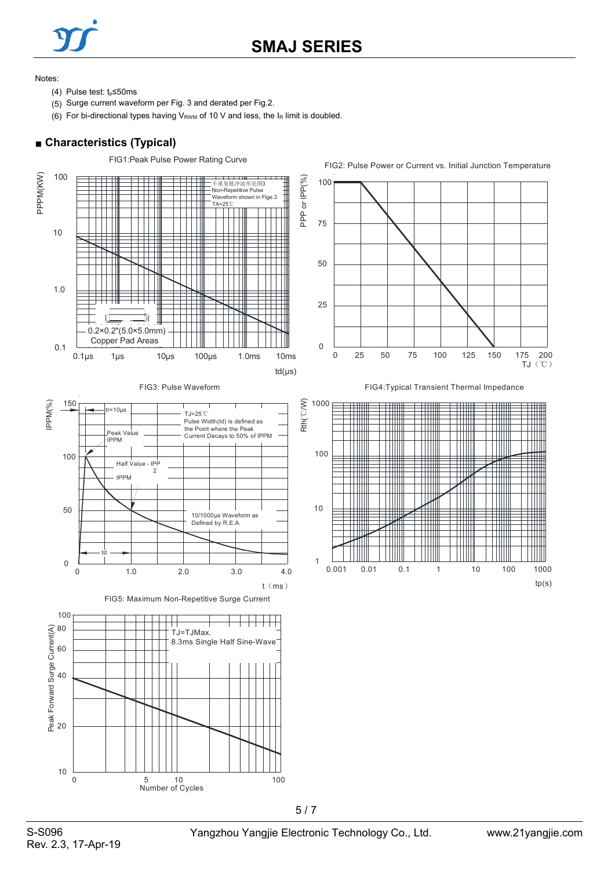

## **SMAJ SERIES**

Notes:

- (4) Pulse test:  $t_0$ ≤50ms
- (5) Surge current waveform per Fig. 3 and derated per Fig.2.
- (6) For bi-directional types having  $V_{RWM}$  of 10 V and less, the  $I_R$  limit is doubled.

### ■ **Characteristics (Typical)**

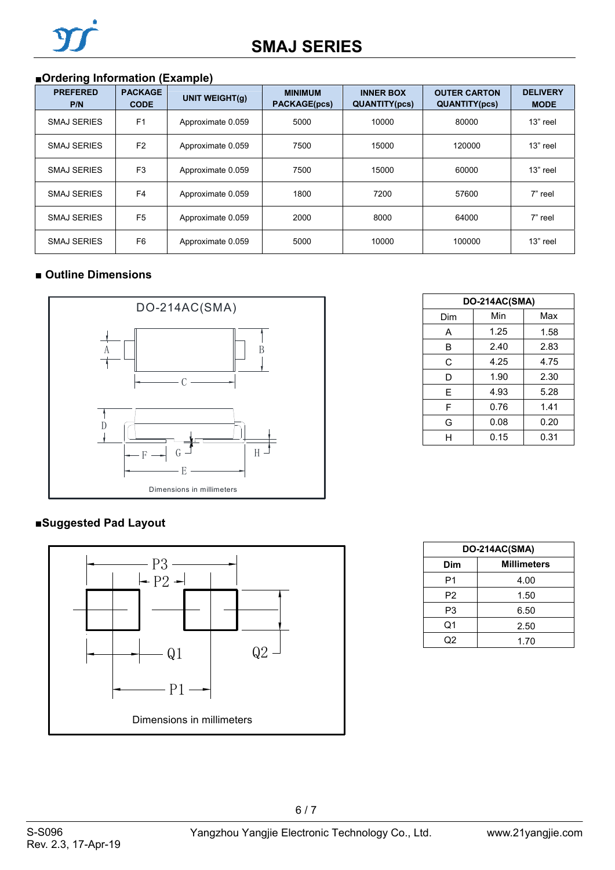## ■**Ordering Information (Example)**

| <b>PREFERED</b><br>P/N | <b>PACKAGE</b><br><b>CODE</b> | <b>UNIT WEIGHT(g)</b> | <b>MINIMUM</b><br><b>PACKAGE(pcs)</b> | <b>INNER BOX</b><br><b>QUANTITY(pcs)</b> | <b>OUTER CARTON</b><br><b>QUANTITY(pcs)</b> | <b>DELIVERY</b><br><b>MODE</b> |
|------------------------|-------------------------------|-----------------------|---------------------------------------|------------------------------------------|---------------------------------------------|--------------------------------|
| <b>SMAJ SERIES</b>     | F <sub>1</sub>                | Approximate 0.059     | 5000                                  | 10000                                    | 80000                                       | 13" reel                       |
| <b>SMAJ SERIES</b>     | F <sub>2</sub>                | Approximate 0.059     | 7500                                  | 15000                                    | 120000                                      | 13" reel                       |
| <b>SMAJ SERIES</b>     | F <sub>3</sub>                | Approximate 0.059     | 7500                                  | 15000                                    | 60000                                       | 13" reel                       |
| <b>SMAJ SERIES</b>     | F <sub>4</sub>                | Approximate 0.059     | 1800                                  | 7200                                     | 57600                                       | 7" reel                        |
| <b>SMAJ SERIES</b>     | F <sub>5</sub>                | Approximate 0.059     | 2000                                  | 8000                                     | 64000                                       | 7" reel                        |
| <b>SMAJ SERIES</b>     | F <sub>6</sub>                | Approximate 0.059     | 5000                                  | 10000                                    | 100000                                      | 13" reel                       |

### ■ **Outline Dimensions**



### **■Suggested Pad Layout**



| <b>DO-214AC(SMA)</b> |      |      |  |  |  |  |
|----------------------|------|------|--|--|--|--|
| Dim                  | Min  | Max  |  |  |  |  |
| A                    | 1.25 | 1.58 |  |  |  |  |
| B                    | 2.40 | 2.83 |  |  |  |  |
| C                    | 4.25 | 4.75 |  |  |  |  |
| D                    | 1.90 | 2.30 |  |  |  |  |
| E                    | 4.93 | 5.28 |  |  |  |  |
| F                    | 0.76 | 1.41 |  |  |  |  |
| G                    | 0.08 | 0.20 |  |  |  |  |
| н                    | 0.15 | 0.31 |  |  |  |  |

| DO-214AC(SMA)  |                    |  |  |  |
|----------------|--------------------|--|--|--|
| Dim            | <b>Millimeters</b> |  |  |  |
| P1             | 4.00               |  |  |  |
| P <sub>2</sub> | 1.50               |  |  |  |
| P3             | 6.50               |  |  |  |
| Q1             | 2.50               |  |  |  |
| Q2             | 1.70               |  |  |  |

6 / 7